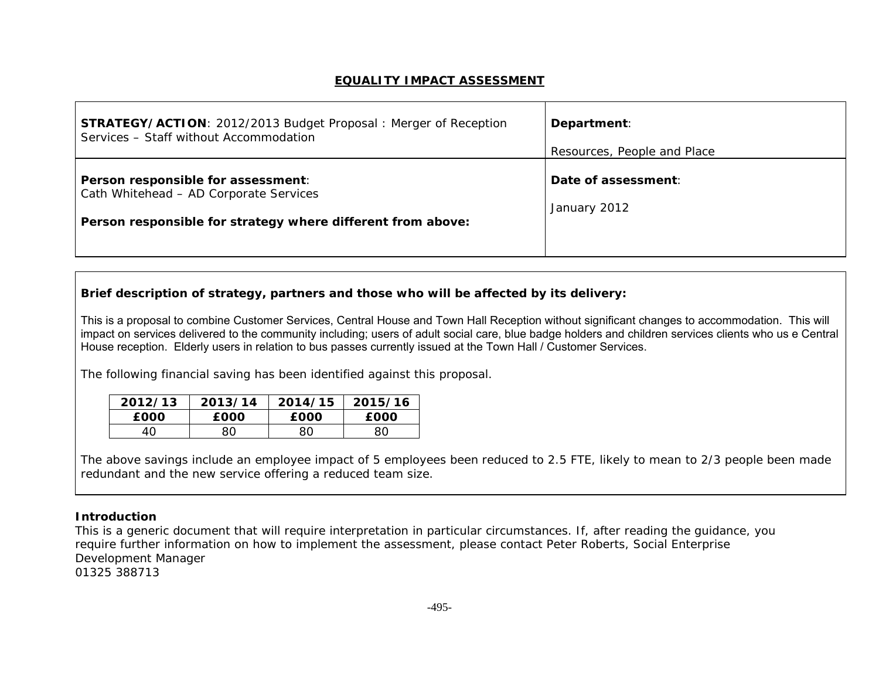## **EQUALITY IMPACT ASSESSMENT**

| <b>STRATEGY/ACTION: 2012/2013 Budget Proposal: Merger of Reception</b>                                                                      | Department:                         |
|---------------------------------------------------------------------------------------------------------------------------------------------|-------------------------------------|
| Services - Staff without Accommodation                                                                                                      | Resources, People and Place         |
| Person responsible for assessment:<br>Cath Whitehead - AD Corporate Services<br>Person responsible for strategy where different from above: | Date of assessment:<br>January 2012 |

## **Brief description of strategy, partners and those who will be affected by its delivery:**

This is a proposal to combine Customer Services, Central House and Town Hall Reception without significant changes to accommodation. This will impact on services delivered to the community including; users of adult social care, blue badge holders and children services clients who us e Central House reception. Elderly users in relation to bus passes currently issued at the Town Hall / Customer Services.

The following financial saving has been identified against this proposal.

| 2012/13 | 2013/14     | 2014/15     | 2015/16     |
|---------|-------------|-------------|-------------|
| £000    | <b>EOOO</b> | <b>EOOO</b> | <b>EOOO</b> |
| 40      | 80          | 80          | 80          |

The above savings include an employee impact of 5 employees been reduced to 2.5 FTE, likely to mean to 2/3 people been made redundant and the new service offering a reduced team size.

## **Introduction**

This is a generic document that will require interpretation in particular circumstances. If, after reading the guidance, you require further information on how to implement the assessment, please contact Peter Roberts, Social Enterprise Development Manager 01325 388713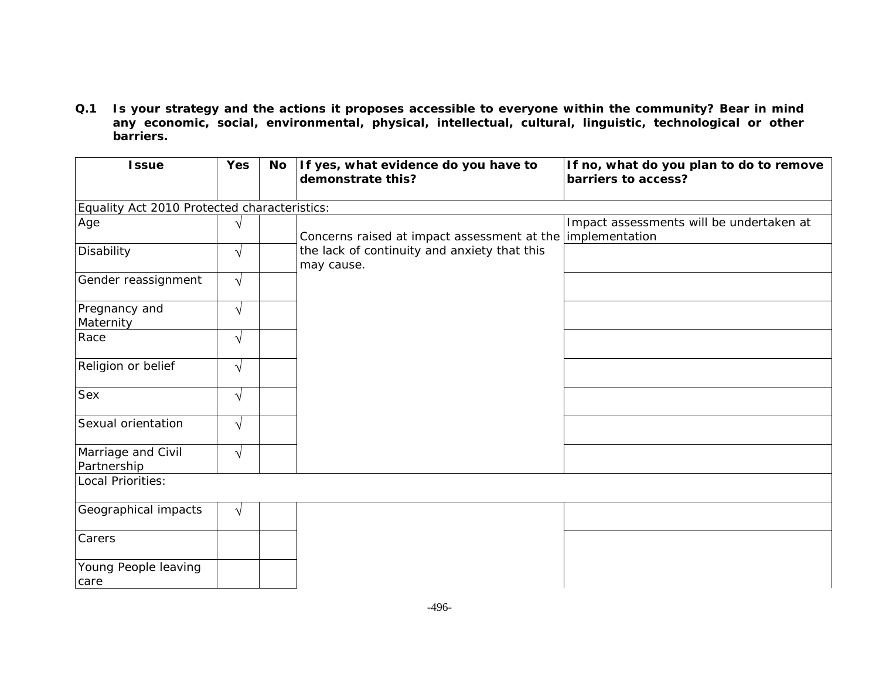**Q.1 Is your strategy and the actions it proposes accessible to everyone within the community? Bear in mind any economic, social, environmental, physical, intellectual, cultural, linguistic, technological or other barriers.** 

| <b>Issue</b>                      | <b>Yes</b>                                   | <b>No</b> | If yes, what evidence do you have to<br>demonstrate this?  | If no, what do you plan to do to remove<br>barriers to access? |  |  |  |
|-----------------------------------|----------------------------------------------|-----------|------------------------------------------------------------|----------------------------------------------------------------|--|--|--|
|                                   | Equality Act 2010 Protected characteristics: |           |                                                            |                                                                |  |  |  |
| Age                               | V                                            |           | Concerns raised at impact assessment at the                | Impact assessments will be undertaken at<br>implementation     |  |  |  |
| Disability                        | $\sqrt{}$                                    |           | the lack of continuity and anxiety that this<br>may cause. |                                                                |  |  |  |
| Gender reassignment               | $\sqrt{}$                                    |           |                                                            |                                                                |  |  |  |
| Pregnancy and<br>Maternity        | $\sqrt{}$                                    |           |                                                            |                                                                |  |  |  |
| Race                              | $\sqrt{}$                                    |           |                                                            |                                                                |  |  |  |
| Religion or belief                | $\sqrt{}$                                    |           |                                                            |                                                                |  |  |  |
| Sex                               | $\sqrt{}$                                    |           |                                                            |                                                                |  |  |  |
| Sexual orientation                | $\sqrt{}$                                    |           |                                                            |                                                                |  |  |  |
| Marriage and Civil<br>Partnership | $\sqrt{}$                                    |           |                                                            |                                                                |  |  |  |
| Local Priorities:                 |                                              |           |                                                            |                                                                |  |  |  |
| Geographical impacts              | $\sqrt{}$                                    |           |                                                            |                                                                |  |  |  |
| Carers                            |                                              |           |                                                            |                                                                |  |  |  |
| Young People leaving<br>care      |                                              |           |                                                            |                                                                |  |  |  |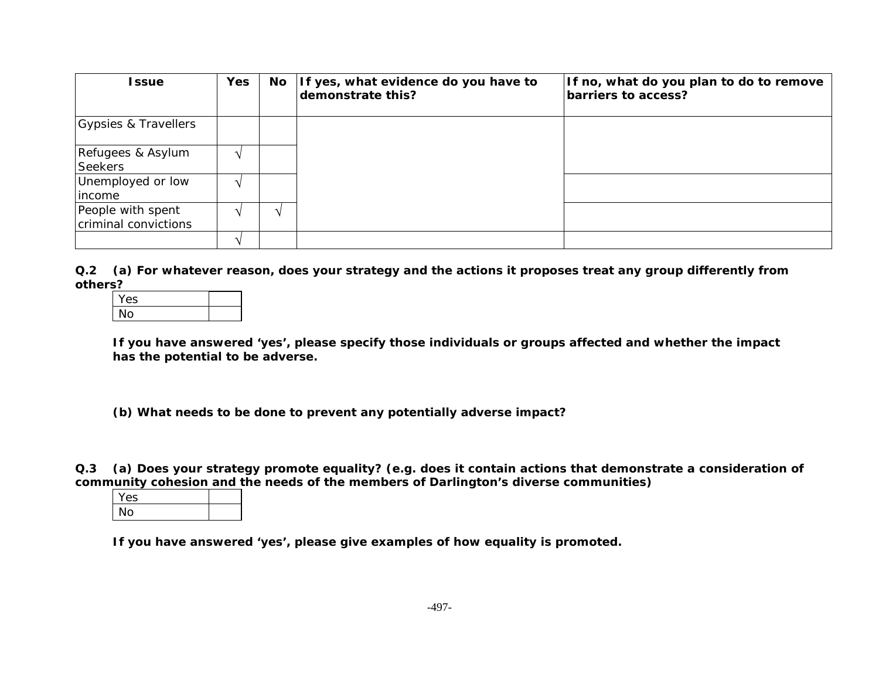| <b>Issue</b>                              | <b>Yes</b> | No | If yes, what evidence do you have to<br>demonstrate this? | If no, what do you plan to do to remove<br>barriers to access? |
|-------------------------------------------|------------|----|-----------------------------------------------------------|----------------------------------------------------------------|
| Gypsies & Travellers                      |            |    |                                                           |                                                                |
| Refugees & Asylum<br>Seekers              |            |    |                                                           |                                                                |
| Unemployed or low<br>lincome              |            |    |                                                           |                                                                |
| People with spent<br>criminal convictions |            | ٦Ι |                                                           |                                                                |
|                                           |            |    |                                                           |                                                                |

**Q.2 (a) For whatever reason, does your strategy and the actions it proposes treat any group differently from others?** 

| es |  |
|----|--|
|    |  |

**If you have answered 'yes', please specify those individuals or groups affected and whether the impact has the potential to be adverse.** 

**(b) What needs to be done to prevent any potentially adverse impact?** 

**Q.3 (a) Does your strategy promote equality? (e.g. does it contain actions that demonstrate a consideration of community cohesion and the needs of the members of Darlington's diverse communities)** 

| Yes |  |
|-----|--|
| חמ  |  |

**If you have answered 'yes', please give examples of how equality is promoted.**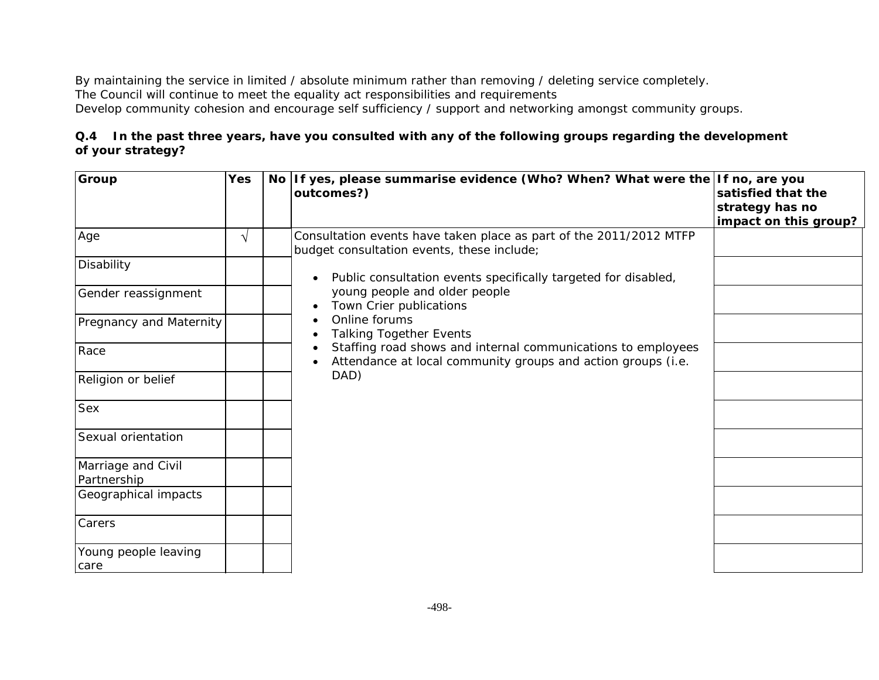By maintaining the service in limited / absolute minimum rather than removing / deleting service completely. The Council will continue to meet the equality act responsibilities and requirements Develop community cohesion and encourage self sufficiency / support and networking amongst community groups.

## **Q.4 In the past three years, have you consulted with any of the following groups regarding the development of your strategy?**

| Group                             | Yes | No l | If yes, please summarise evidence (Who? When? What were the If no, are you<br>outcomes?)                                     | satisfied that the<br>strategy has no<br>impact on this group? |
|-----------------------------------|-----|------|------------------------------------------------------------------------------------------------------------------------------|----------------------------------------------------------------|
| Age                               | V   |      | Consultation events have taken place as part of the 2011/2012 MTFP<br>budget consultation events, these include;             |                                                                |
| Disability                        |     |      | Public consultation events specifically targeted for disabled,                                                               |                                                                |
| Gender reassignment               |     |      | young people and older people<br>Town Crier publications                                                                     |                                                                |
| <b>Pregnancy and Maternity</b>    |     |      | Online forums<br><b>Talking Together Events</b>                                                                              |                                                                |
| Race                              |     |      | Staffing road shows and internal communications to employees<br>Attendance at local community groups and action groups (i.e. |                                                                |
| Religion or belief                |     |      | DAD)                                                                                                                         |                                                                |
| Sex                               |     |      |                                                                                                                              |                                                                |
| Sexual orientation                |     |      |                                                                                                                              |                                                                |
| Marriage and Civil<br>Partnership |     |      |                                                                                                                              |                                                                |
| Geographical impacts              |     |      |                                                                                                                              |                                                                |
| Carers                            |     |      |                                                                                                                              |                                                                |
| Young people leaving<br>care      |     |      |                                                                                                                              |                                                                |